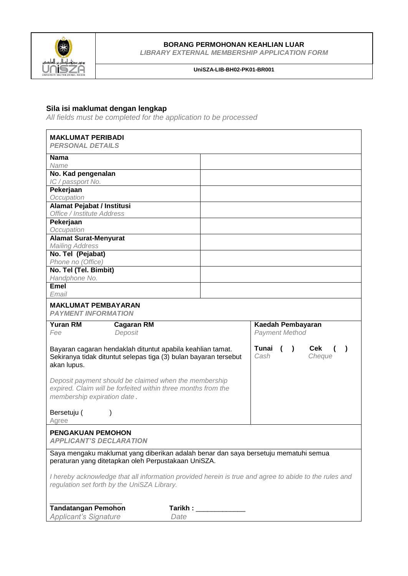

## **BORANG PERMOHONAN KEAHLIAN LUAR**

*LIBRARY EXTERNAL MEMBERSHIP APPLICATION FORM*

### **UniSZA-LIB-BH02-PK01-BR001**

## **Sila isi maklumat dengan lengkap**

*All fields must be completed for the application to be processed* 

| <b>MAKLUMAT PERIBADI</b>                                                                                                                              |                                                                                                       |
|-------------------------------------------------------------------------------------------------------------------------------------------------------|-------------------------------------------------------------------------------------------------------|
| <b>PERSONAL DETAILS</b>                                                                                                                               |                                                                                                       |
| <b>Nama</b>                                                                                                                                           |                                                                                                       |
| Name                                                                                                                                                  |                                                                                                       |
| No. Kad pengenalan                                                                                                                                    |                                                                                                       |
| IC / passport No.                                                                                                                                     |                                                                                                       |
| Pekerjaan<br>Occupation                                                                                                                               |                                                                                                       |
| Alamat Pejabat / Institusi                                                                                                                            |                                                                                                       |
| Office / Institute Address                                                                                                                            |                                                                                                       |
| Pekerjaan                                                                                                                                             |                                                                                                       |
| Occupation                                                                                                                                            |                                                                                                       |
| <b>Alamat Surat-Menyurat</b>                                                                                                                          |                                                                                                       |
| <b>Mailing Address</b>                                                                                                                                |                                                                                                       |
| No. Tel (Pejabat)                                                                                                                                     |                                                                                                       |
| Phone no (Office)                                                                                                                                     |                                                                                                       |
| No. Tel (Tel. Bimbit)                                                                                                                                 |                                                                                                       |
| Handphone No.                                                                                                                                         |                                                                                                       |
| <b>Emel</b>                                                                                                                                           |                                                                                                       |
| Email                                                                                                                                                 |                                                                                                       |
| <b>MAKLUMAT PEMBAYARAN</b><br><b>PAYMENT INFORMATION</b>                                                                                              |                                                                                                       |
| <b>Yuran RM</b><br><b>Cagaran RM</b>                                                                                                                  | Kaedah Pembayaran                                                                                     |
| Fee<br>Deposit                                                                                                                                        | <b>Payment Method</b>                                                                                 |
| Bayaran cagaran hendaklah dituntut apabila keahlian tamat.<br>Sekiranya tidak dituntut selepas tiga (3) bulan bayaran tersebut<br>akan lupus.         | Tunai<br>Cek<br>$\left( \begin{array}{c} \end{array} \right)$<br>Cash<br>Cheque                       |
| Deposit payment should be claimed when the membership<br>expired. Claim will be forfeited within three months from the<br>membership expiration date. |                                                                                                       |
| Bersetuju (<br>∖<br>Agree                                                                                                                             |                                                                                                       |
| <b>PENGAKUAN PEMOHON</b><br><i><b>APPLICANT'S DECLARATION</b></i>                                                                                     |                                                                                                       |
| Saya mengaku maklumat yang diberikan adalah benar dan saya bersetuju mematuhi semua                                                                   |                                                                                                       |
| peraturan yang ditetapkan oleh Perpustakaan UniSZA.                                                                                                   |                                                                                                       |
| regulation set forth by the UniSZA Library.                                                                                                           | I hereby acknowledge that all information provided herein is true and agree to abide to the rules and |
| <b>Tandatangan Pemohon</b><br><b>Applicant's Signature</b><br>Date                                                                                    | Tarikh : ______________                                                                               |